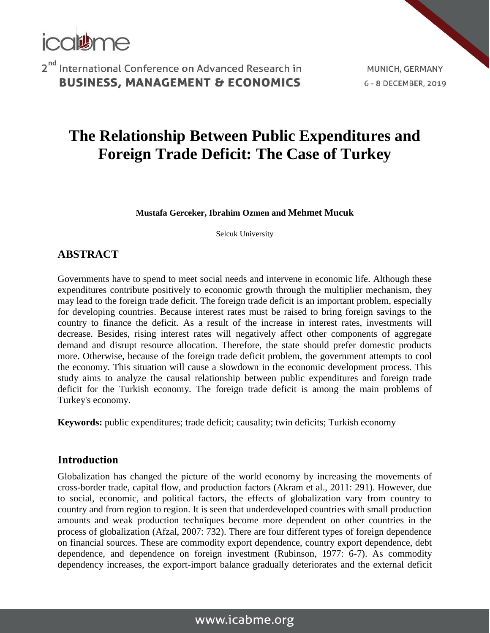

MUNICH, GERMANY 6 - 8 DECEMBER, 2019

# **The Relationship Between Public Expenditures and Foreign Trade Deficit: The Case of Turkey**

**Mustafa Gerceker, Ibrahim Ozmen and Mehmet Mucuk**

Selcuk University

### **ABSTRACT**

Governments have to spend to meet social needs and intervene in economic life. Although these expenditures contribute positively to economic growth through the multiplier mechanism, they may lead to the foreign trade deficit. The foreign trade deficit is an important problem, especially for developing countries. Because interest rates must be raised to bring foreign savings to the country to finance the deficit. As a result of the increase in interest rates, investments will decrease. Besides, rising interest rates will negatively affect other components of aggregate demand and disrupt resource allocation. Therefore, the state should prefer domestic products more. Otherwise, because of the foreign trade deficit problem, the government attempts to cool the economy. This situation will cause a slowdown in the economic development process. This study aims to analyze the causal relationship between public expenditures and foreign trade deficit for the Turkish economy. The foreign trade deficit is among the main problems of Turkey's economy.

**Keywords:** public expenditures; trade deficit; causality; twin deficits; Turkish economy

### **Introduction**

Globalization has changed the picture of the world economy by increasing the movements of cross-border trade, capital flow, and production factors (Akram et al., 2011: 291). However, due to social, economic, and political factors, the effects of globalization vary from country to country and from region to region. It is seen that underdeveloped countries with small production amounts and weak production techniques become more dependent on other countries in the process of globalization (Afzal, 2007: 732). There are four different types of foreign dependence on financial sources. These are commodity export dependence, country export dependence, debt dependence, and dependence on foreign investment (Rubinson, 1977: 6-7). As commodity dependency increases, the export-import balance gradually deteriorates and the external deficit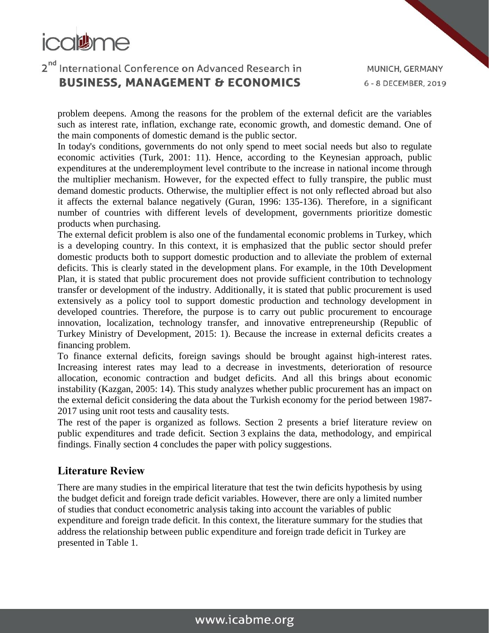

problem deepens. Among the reasons for the problem of the external deficit are the variables such as interest rate, inflation, exchange rate, economic growth, and domestic demand. One of the main components of domestic demand is the public sector.

In today's conditions, governments do not only spend to meet social needs but also to regulate economic activities (Turk, 2001: 11). Hence, according to the Keynesian approach, public expenditures at the underemployment level contribute to the increase in national income through the multiplier mechanism. However, for the expected effect to fully transpire, the public must demand domestic products. Otherwise, the multiplier effect is not only reflected abroad but also it affects the external balance negatively (Guran, 1996: 135-136). Therefore, in a significant number of countries with different levels of development, governments prioritize domestic products when purchasing.

The external deficit problem is also one of the fundamental economic problems in Turkey, which is a developing country. In this context, it is emphasized that the public sector should prefer domestic products both to support domestic production and to alleviate the problem of external deficits. This is clearly stated in the development plans. For example, in the 10th Development Plan, it is stated that public procurement does not provide sufficient contribution to technology transfer or development of the industry. Additionally, it is stated that public procurement is used extensively as a policy tool to support domestic production and technology development in developed countries. Therefore, the purpose is to carry out public procurement to encourage innovation, localization, technology transfer, and innovative entrepreneurship (Republic of Turkey Ministry of Development, 2015: 1). Because the increase in external deficits creates a financing problem.

To finance external deficits, foreign savings should be brought against high-interest rates. Increasing interest rates may lead to a decrease in investments, deterioration of resource allocation, economic contraction and budget deficits. And all this brings about economic instability (Kazgan, 2005: 14). This study analyzes whether public procurement has an impact on the external deficit considering the data about the Turkish economy for the period between 1987- 2017 using unit root tests and causality tests.

The rest of the paper is organized as follows. Section 2 presents a brief literature review on public expenditures and trade deficit. Section [3](https://www.sciencedirect.com/science/article/pii/S0960148119313370#sec3) explains the data, methodology, and empirical findings. Finally section [4](https://www.sciencedirect.com/science/article/pii/S0960148119313370#sec5) concludes the paper with policy suggestions.

### **Literature Review**

There are many studies in the empirical literature that test the twin deficits hypothesis by using the budget deficit and foreign trade deficit variables. However, there are only a limited number of studies that conduct econometric analysis taking into account the variables of public expenditure and foreign trade deficit. In this context, the literature summary for the studies that address the relationship between public expenditure and foreign trade deficit in Turkey are presented in Table 1.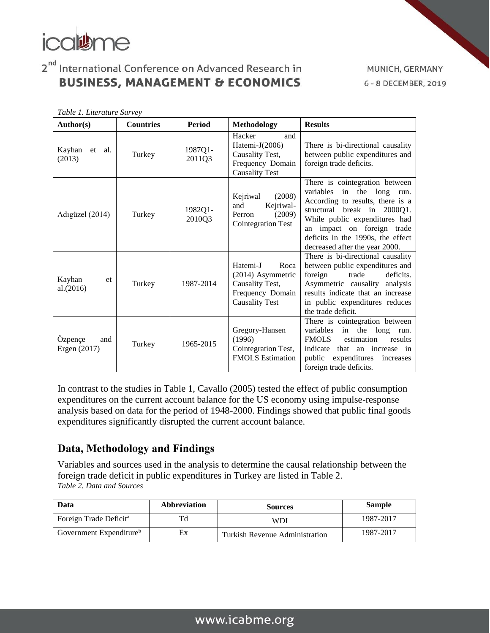

*Table 1. Literature Survey*

## 2<sup>nd</sup> International Conference on Advanced Research in **BUSINESS, MANAGEMENT & ECONOMICS**

MUNICH, GERMANY 6 - 8 DECEMBER, 2019

| Author(s)                      | <b>Countries</b>              | <b>Period</b>     | <b>Methodology</b>                                                                                       | <b>Results</b>                                                                                                                                                                                                                                                              |  |  |  |
|--------------------------------|-------------------------------|-------------------|----------------------------------------------------------------------------------------------------------|-----------------------------------------------------------------------------------------------------------------------------------------------------------------------------------------------------------------------------------------------------------------------------|--|--|--|
| Kayhan<br>et al.<br>(2013)     | Turkey                        | 1987Q1-<br>2011Q3 | Hacker<br>and<br>Hatemi-J(2006)<br>Causality Test,<br>Frequency Domain<br><b>Causality Test</b>          | There is bi-directional causality<br>between public expenditures and<br>foreign trade deficits.                                                                                                                                                                             |  |  |  |
| Adıgüzel (2014)                | Turkey                        | 1982Q1-<br>2010Q3 | (2008)<br>Kejriwal<br>Kejriwal-<br>and<br>(2009)<br>Perron<br>Cointegration Test                         | There is cointegration between<br>variables<br>in the long<br>run.<br>According to results, there is a<br>structural break in 2000Q1.<br>While public expenditures had<br>an impact on foreign trade<br>deficits in the 1990s, the effect<br>decreased after the year 2000. |  |  |  |
| Kayhan<br>et<br>al.(2016)      | Turkey                        | 1987-2014         | Hatemi-J $-$ Roca<br>$(2014)$ Asymmetric<br>Causality Test,<br>Frequency Domain<br><b>Causality Test</b> | There is bi-directional causality<br>between public expenditures and<br>deficits.<br>foreign<br>trade<br>Asymmetric causality analysis<br>results indicate that an increase<br>in public expenditures reduces<br>the trade deficit.                                         |  |  |  |
| Özpençe<br>and<br>Ergen (2017) | (1996)<br>1965-2015<br>Turkey |                   | Gregory-Hansen<br>Cointegration Test,<br><b>FMOLS</b> Estimation                                         | There is cointegration between<br>variables<br>in the long run.<br><b>FMOLS</b><br>estimation<br>results<br>indicate<br>that an increase in<br>public<br>expenditures<br>increases<br>foreign trade deficits.                                                               |  |  |  |

In contrast to the studies in Table 1, Cavallo (2005) tested the effect of public consumption expenditures on the current account balance for the US economy using impulse-response analysis based on data for the period of 1948-2000. Findings showed that public final goods expenditures significantly disrupted the current account balance.

### **Data, Methodology and Findings**

Variables and sources used in the analysis to determine the causal relationship between the foreign trade deficit in public expenditures in Turkey are listed in Table 2. *Table 2. Data and Sources*

| Data                                | <b>Abbreviation</b> | <b>Sources</b>                 | <b>Sample</b> |  |
|-------------------------------------|---------------------|--------------------------------|---------------|--|
| Foreign Trade Deficit <sup>a</sup>  |                     | WDI                            | 1987-2017     |  |
| Government Expenditure <sup>b</sup> | Ex                  | Turkish Revenue Administration | 1987-2017     |  |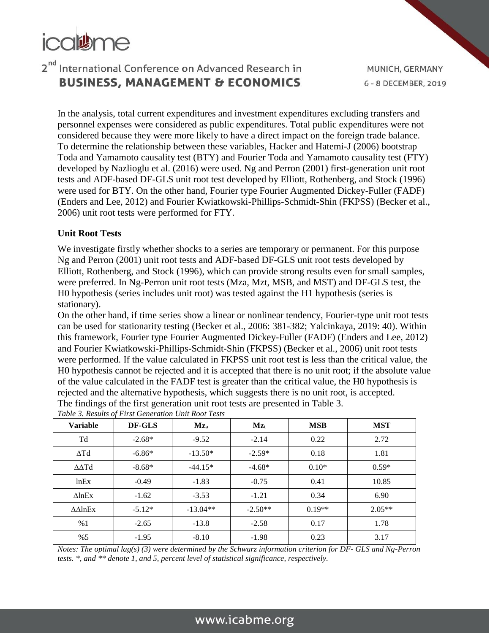

In the analysis, total current expenditures and investment expenditures excluding transfers and personnel expenses were considered as public expenditures. Total public expenditures were not considered because they were more likely to have a direct impact on the foreign trade balance. To determine the relationship between these variables, Hacker and Hatemi-J (2006) bootstrap Toda and Yamamoto causality test (BTY) and Fourier Toda and Yamamoto causality test (FTY) developed by Nazlioglu et al. (2016) were used. Ng and Perron (2001) first-generation unit root tests and ADF-based DF-GLS unit root test developed by Elliott, Rothenberg, and Stock (1996) were used for BTY. On the other hand, Fourier type Fourier Augmented Dickey-Fuller (FADF) (Enders and Lee, 2012) and Fourier Kwiatkowski-Phillips-Schmidt-Shin (FKPSS) (Becker et al., 2006) unit root tests were performed for FTY.

#### **Unit Root Tests**

We investigate firstly whether shocks to a series are temporary or permanent. For this purpose Ng and Perron (2001) unit root tests and ADF-based DF-GLS unit root tests developed by Elliott, Rothenberg, and Stock (1996), which can provide strong results even for small samples, were preferred. In Ng-Perron unit root tests (Mza, Mzt, MSB, and MST) and DF-GLS test, the H0 hypothesis (series includes unit root) was tested against the H1 hypothesis (series is stationary).

On the other hand, if time series show a linear or nonlinear tendency, Fourier-type unit root tests can be used for stationarity testing (Becker et al., 2006: 381-382; Yalcinkaya, 2019: 40). Within this framework, Fourier type Fourier Augmented Dickey-Fuller (FADF) (Enders and Lee, 2012) and Fourier Kwiatkowski-Phillips-Schmidt-Shin (FKPSS) (Becker et al., 2006) unit root tests were performed. If the value calculated in FKPSS unit root test is less than the critical value, the H0 hypothesis cannot be rejected and it is accepted that there is no unit root; if the absolute value of the value calculated in the FADF test is greater than the critical value, the H0 hypothesis is rejected and the alternative hypothesis, which suggests there is no unit root, is accepted. The findings of the first generation unit root tests are presented in Table 3.

| <b>Variable</b>            | DF-GLS   | Mza<br>$Mz_t$ |           | <b>MSB</b> | <b>MST</b> |
|----------------------------|----------|---------------|-----------|------------|------------|
| Td                         | $-2.68*$ | $-9.52$       | $-2.14$   | 0.22       | 2.72       |
| $\Delta Td$                | $-6.86*$ | $-13.50*$     | $-2.59*$  | 0.18       | 1.81       |
|                            | $-8.68*$ | $-44.15*$     | $-4.68*$  | $0.10*$    | $0.59*$    |
| lnEx                       | $-0.49$  | $-1.83$       | $-0.75$   | 0.41       | 10.85      |
| $\triangle$ lnEx           | $-1.62$  | $-3.53$       | $-1.21$   | 0.34       | 6.90       |
| $\triangle\triangle\ln Ex$ | $-5.12*$ | $-13.04**$    | $-2.50**$ | $0.19**$   | $2.05**$   |
| %1                         | $-2.65$  | $-13.8$       | $-2.58$   | 0.17       | 1.78       |
| %5                         | $-1.95$  | $-8.10$       | $-1.98$   | 0.23       | 3.17       |

*Table 3. Results of First Generation Unit Root Tests*

*Notes: The optimal lag(s) (3) were determined by the Schwarz information criterion for DF- GLS and Ng-Perron tests. \*, and \*\* denote 1, and 5, percent level of statistical significance, respectively.*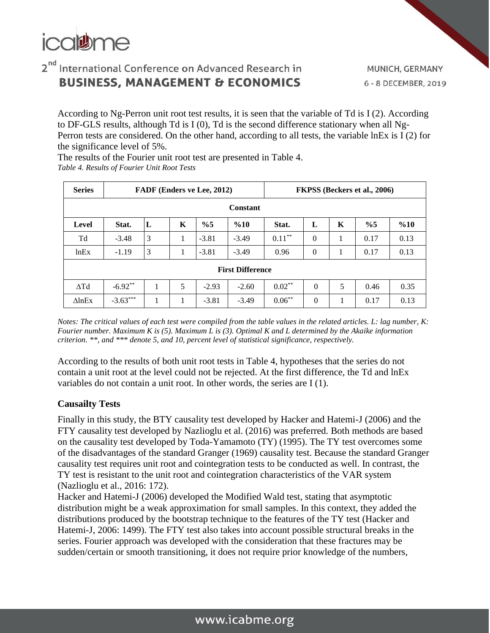

According to Ng-Perron unit root test results, it is seen that the variable of Td is I (2). According to DF-GLS results, although Td is I (0), Td is the second difference stationary when all Ng-Perron tests are considered. On the other hand, according to all tests, the variable lnEx is I (2) for the significance level of 5%.

The results of the Fourier unit root test are presented in Table 4. *Table 4. Results of Fourier Unit Root Tests* 

| <b>Series</b>           | FADF (Enders ve Lee, 2012)                                     |   |   |         |         | FKPSS (Beckers et al., 2006) |                |   |      |      |
|-------------------------|----------------------------------------------------------------|---|---|---------|---------|------------------------------|----------------|---|------|------|
| Constant                |                                                                |   |   |         |         |                              |                |   |      |      |
| Level                   | L<br>K<br>L<br>K<br>$\%5$<br>$\%5$<br>Stat.<br>$\%10$<br>Stat. |   |   |         |         |                              |                |   | %10  |      |
| Td                      | $-3.48$                                                        | 3 | 1 | $-3.81$ | $-3.49$ | $0.11***$                    | $\Omega$       | 1 | 0.17 | 0.13 |
| lnEx                    | $-1.19$                                                        | 3 | 1 | $-3.81$ | $-3.49$ | 0.96                         | $\overline{0}$ |   | 0.17 | 0.13 |
| <b>First Difference</b> |                                                                |   |   |         |         |                              |                |   |      |      |
| $\Delta Td$             | $-6.92**$                                                      | 1 | 5 | $-2.93$ | $-2.60$ | $0.02**$                     | $\theta$       | 5 | 0.46 | 0.35 |
| $\triangle$ lnEx        | $-3.63***$                                                     | 1 |   | $-3.81$ | $-3.49$ | $0.06***$                    | $\theta$       |   | 0.17 | 0.13 |

*Notes: The critical values of each test were compiled from the table values in the related articles. L: lag number, K: Fourier number. Maximum K is (5). Maximum L is (3). Optimal K and L determined by the Akaike information criterion. \*\*, and \*\*\* denote 5, and 10, percent level of statistical significance, respectively.*

According to the results of both unit root tests in Table 4, hypotheses that the series do not contain a unit root at the level could not be rejected. At the first difference, the Td and lnEx variables do not contain a unit root. In other words, the series are I (1).

#### **Causailty Tests**

Finally in this study, the BTY causality test developed by Hacker and Hatemi-J (2006) and the FTY causality test developed by Nazlioglu et al. (2016) was preferred. Both methods are based on the causality test developed by Toda-Yamamoto (TY) (1995). The TY test overcomes some of the disadvantages of the standard Granger (1969) causality test. Because the standard Granger causality test requires unit root and cointegration tests to be conducted as well. In contrast, the TY test is resistant to the unit root and cointegration characteristics of the VAR system (Nazlioglu et al., 2016: 172).

Hacker and Hatemi-J (2006) developed the Modified Wald test, stating that asymptotic distribution might be a weak approximation for small samples. In this context, they added the distributions produced by the bootstrap technique to the features of the TY test (Hacker and Hatemi-J, 2006: 1499). The FTY test also takes into account possible structural breaks in the series. Fourier approach was developed with the consideration that these fractures may be sudden/certain or smooth transitioning, it does not require prior knowledge of the numbers,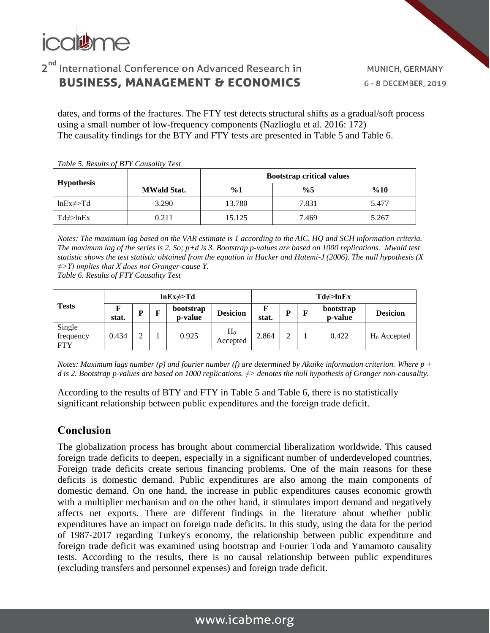

MUNICH, GERMANY 6 - 8 DECEMBER, 2019

dates, and forms of the fractures. The FTY test detects structural shifts as a gradual/soft process using a small number of low-frequency components (Nazlioglu et al. 2016: 172) The causality findings for the BTY and FTY tests are presented in Table 5 and Table 6.

*Table 5. Results of BTY Causality Test* 

| <b>Hypothesis</b>      |                    | <b>Bootstrap critical values</b> |       |       |  |  |  |  |
|------------------------|--------------------|----------------------------------|-------|-------|--|--|--|--|
|                        | <b>MWald Stat.</b> | $\%1$                            | $\%5$ | %10   |  |  |  |  |
| $lnEx \neq$ Td         | 3.290              | 13.780                           | 7.831 | 5.477 |  |  |  |  |
| $Td \nless\text{lnEx}$ | 0.211              | 15.125                           | 7.469 | 5.267 |  |  |  |  |

*Notes: The maximum lag based on the VAR estimate is 1 according to the AIC, HQ and SCH information criteria. The maximum lag of the series is 2. So; p+d is 3. Bootstrap p-values are based on 1000 replications. Mwald test statistic shows the test statistic obtained from the equation in Hacker and Hatemi-J (2006). The null hypothesis (X ≠˃Y) implies that X does not Granger-cause Y.* 

*Table 6. Results of FTY Causality Test*

| <b>Tests</b>                      | $lnEx \neq > Td$ |   |  |                      |                   | $Td \neq \text{lnEx}$ |        |   |                      |                 |
|-----------------------------------|------------------|---|--|----------------------|-------------------|-----------------------|--------|---|----------------------|-----------------|
|                                   | stat.            | D |  | bootstrap<br>p-value | <b>Desicion</b>   | F<br>stat.            | D      | F | bootstrap<br>p-value | <b>Desicion</b> |
| Single<br>frequency<br><b>FTY</b> | 0.434            |   |  | 0.925                | $H_0$<br>Accepted | 2.864                 | ↑<br>∠ |   | 0.422                | $H_0$ Accepted  |

*Notes: Maximum lags number (p) and fourier number (f) are determined by Akaike information criterion. Where p + d is 2. Bootstrap p-values are based on 1000 replications. ≠˃ denotes the null hypothesis of Granger non-causality.*

According to the results of BTY and FTY in Table 5 and Table 6, there is no statistically significant relationship between public expenditures and the foreign trade deficit.

### **Conclusion**

The globalization process has brought about commercial liberalization worldwide. This caused foreign trade deficits to deepen, especially in a significant number of underdeveloped countries. Foreign trade deficits create serious financing problems. One of the main reasons for these deficits is domestic demand. Public expenditures are also among the main components of domestic demand. On one hand, the increase in public expenditures causes economic growth with a multiplier mechanism and on the other hand, it stimulates import demand and negatively affects net exports. There are different findings in the literature about whether public expenditures have an impact on foreign trade deficits. In this study, using the data for the period of 1987-2017 regarding Turkey's economy, the relationship between public expenditure and foreign trade deficit was examined using bootstrap and Fourier Toda and Yamamoto causality tests. According to the results, there is no causal relationship between public expenditures (excluding transfers and personnel expenses) and foreign trade deficit.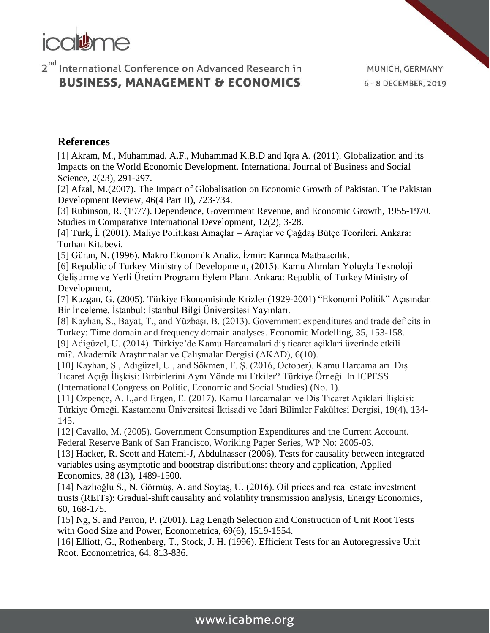

MUNICH, GERMANY 6 - 8 DECEMBER, 2019

### **References**

[1] Akram, M., Muhammad, A.F., Muhammad K.B.D and Iqra A. (2011). Globalization and its Impacts on the World Economic Development. International Journal of Business and Social Science, 2(23), 291-297.

[2] Afzal, M.(2007). The Impact of Globalisation on Economic Growth of Pakistan. The Pakistan Development Review, 46(4 Part II), 723-734.

[3] Rubinson, R. (1977). Dependence, Government Revenue, and Economic Growth, 1955-1970. Studies in Comparative International Development, 12(2), 3-28.

[4] Turk, İ. (2001). Maliye Politikası Amaçlar – Araçlar ve Çağdaş Bütçe Teorileri. Ankara: Turhan Kitabevi.

[5] Güran, N. (1996). Makro Ekonomik Analiz. İzmir: Karınca Matbaacılık.

[6] Republic of Turkey Ministry of Development, (2015). Kamu Alımları Yoluyla Teknoloji Geliştirme ve Yerli Üretim Programı Eylem Planı. Ankara: Republic of Turkey Ministry of Development,

[7] Kazgan, G. (2005). Türkiye Ekonomisinde Krizler (1929-2001) "Ekonomi Politik" Açısından Bir İnceleme. İstanbul: İstanbul Bilgi Üniversitesi Yayınları.

[8] Kayhan, S., Bayat, T., and Yüzbaşı, B. (2013). Government expenditures and trade deficits in Turkey: Time domain and frequency domain analyses. Economic Modelling, 35, 153-158. [9] Adigüzel, U. (2014). Türkiye'de Kamu Harcamalari diş ticaret açiklari üzerinde etkili

mi?. Akademik Araştırmalar ve Çalışmalar Dergisi (AKAD), 6(10).

[10] Kayhan, S., Adıgüzel, U., and Sökmen, F. Ş. (2016, October). Kamu Harcamaları–Dış Ticaret Açığı İlişkisi: Birbirlerini Aynı Yönde mi Etkiler? Türkiye Örneği. In ICPESS (International Congress on Politic, Economic and Social Studies) (No. 1).

[11] Ozpençe, A. I.,and Ergen, E. (2017). Kamu Harcamalari ve Diş Ticaret Açiklari İlişkisi: Türkiye Örneği. Kastamonu Üniversitesi İktisadi ve İdari Bilimler Fakültesi Dergisi, 19(4), 134- 145.

[12] Cavallo, M. (2005). Government Consumption Expenditures and the Current Account. Federal Reserve Bank of San Francisco, Woriking Paper Series, WP No: 2005-03.

[13] Hacker, R. Scott and Hatemi-J, Abdulnasser (2006), Tests for causality between integrated variables using asymptotic and bootstrap distributions: theory and application, Applied Economics, 38 (13), 1489-1500.

[14] Nazlıoğlu S., N. Görmüş, A. and Soytaş, U. (2016). Oil prices and real estate investment trusts (REITs): Gradual-shift causality and volatility transmission analysis, Energy Economics, 60, 168-175.

[15] Ng, S. and Perron, P. (2001). Lag Length Selection and Construction of Unit Root Tests with Good Size and Power, Econometrica, 69(6), 1519-1554.

[16] Elliott, G., Rothenberg, T., Stock, J. H. (1996). Efficient Tests for an Autoregressive Unit Root. Econometrica, 64, 813-836.